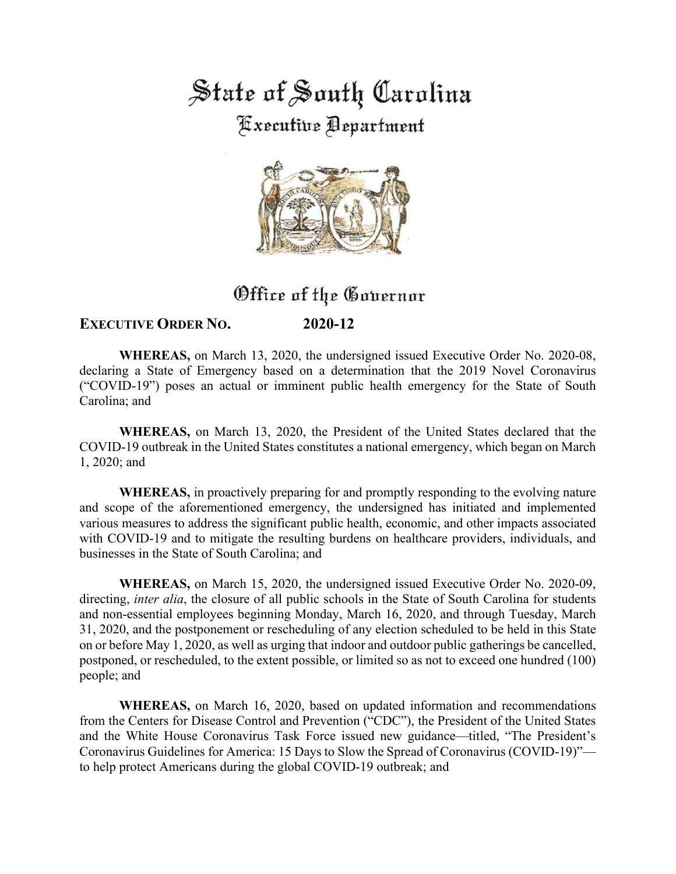State of South Carolina **Fixecutive Department** 



## Office of the Governor

## **EXECUTIVE ORDER NO. 2020-12**

**WHEREAS,** on March 13, 2020, the undersigned issued Executive Order No. 2020-08, declaring a State of Emergency based on a determination that the 2019 Novel Coronavirus ("COVID-19") poses an actual or imminent public health emergency for the State of South Carolina; and

**WHEREAS,** on March 13, 2020, the President of the United States declared that the COVID-19 outbreak in the United States constitutes a national emergency, which began on March 1, 2020; and

**WHEREAS,** in proactively preparing for and promptly responding to the evolving nature and scope of the aforementioned emergency, the undersigned has initiated and implemented various measures to address the significant public health, economic, and other impacts associated with COVID-19 and to mitigate the resulting burdens on healthcare providers, individuals, and businesses in the State of South Carolina; and

**WHEREAS,** on March 15, 2020, the undersigned issued Executive Order No. 2020-09, directing, *inter alia*, the closure of all public schools in the State of South Carolina for students and non-essential employees beginning Monday, March 16, 2020, and through Tuesday, March 31, 2020, and the postponement or rescheduling of any election scheduled to be held in this State on or before May 1, 2020, as well as urging that indoor and outdoor public gatherings be cancelled, postponed, or rescheduled, to the extent possible, or limited so as not to exceed one hundred (100) people; and

**WHEREAS,** on March 16, 2020, based on updated information and recommendations from the Centers for Disease Control and Prevention ("CDC"), the President of the United States and the White House Coronavirus Task Force issued new guidance—titled, "The President's Coronavirus Guidelines for America: 15 Days to Slow the Spread of Coronavirus (COVID-19)" to help protect Americans during the global COVID-19 outbreak; and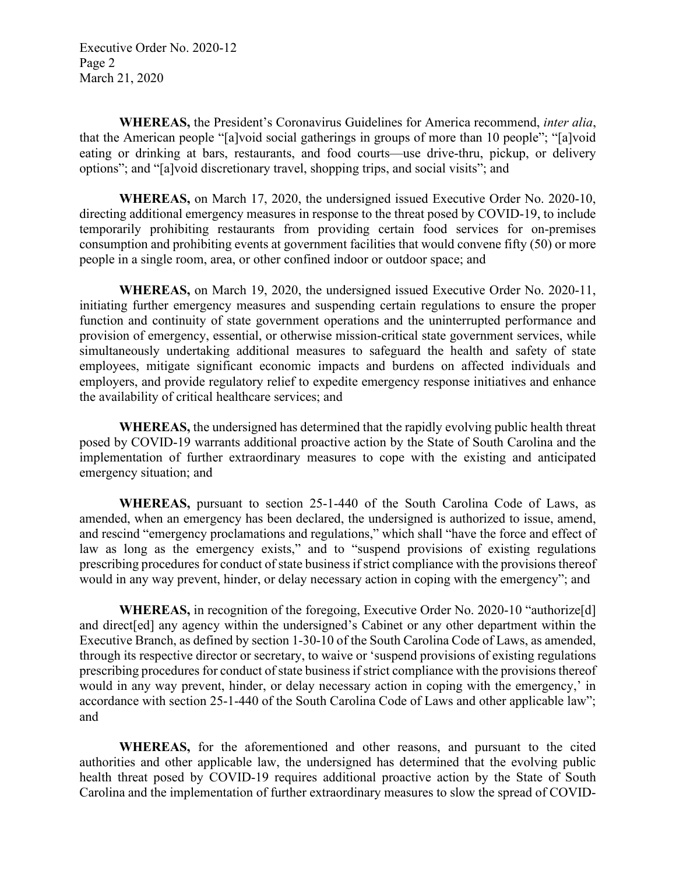Executive Order No. 2020-12 Page 2 March 21, 2020

**WHEREAS,** the President's Coronavirus Guidelines for America recommend, *inter alia*, that the American people "[a]void social gatherings in groups of more than 10 people"; "[a]void eating or drinking at bars, restaurants, and food courts—use drive-thru, pickup, or delivery options"; and "[a]void discretionary travel, shopping trips, and social visits"; and

**WHEREAS,** on March 17, 2020, the undersigned issued Executive Order No. 2020-10, directing additional emergency measures in response to the threat posed by COVID-19, to include temporarily prohibiting restaurants from providing certain food services for on-premises consumption and prohibiting events at government facilities that would convene fifty (50) or more people in a single room, area, or other confined indoor or outdoor space; and

**WHEREAS,** on March 19, 2020, the undersigned issued Executive Order No. 2020-11, initiating further emergency measures and suspending certain regulations to ensure the proper function and continuity of state government operations and the uninterrupted performance and provision of emergency, essential, or otherwise mission-critical state government services, while simultaneously undertaking additional measures to safeguard the health and safety of state employees, mitigate significant economic impacts and burdens on affected individuals and employers, and provide regulatory relief to expedite emergency response initiatives and enhance the availability of critical healthcare services; and

**WHEREAS,** the undersigned has determined that the rapidly evolving public health threat posed by COVID-19 warrants additional proactive action by the State of South Carolina and the implementation of further extraordinary measures to cope with the existing and anticipated emergency situation; and

**WHEREAS,** pursuant to section 25-1-440 of the South Carolina Code of Laws, as amended, when an emergency has been declared, the undersigned is authorized to issue, amend, and rescind "emergency proclamations and regulations," which shall "have the force and effect of law as long as the emergency exists," and to "suspend provisions of existing regulations prescribing procedures for conduct of state business if strict compliance with the provisions thereof would in any way prevent, hinder, or delay necessary action in coping with the emergency"; and

**WHEREAS,** in recognition of the foregoing, Executive Order No. 2020-10 "authorize[d] and direct[ed] any agency within the undersigned's Cabinet or any other department within the Executive Branch, as defined by section 1-30-10 of the South Carolina Code of Laws, as amended, through its respective director or secretary, to waive or 'suspend provisions of existing regulations prescribing procedures for conduct of state business if strict compliance with the provisions thereof would in any way prevent, hinder, or delay necessary action in coping with the emergency,' in accordance with section 25-1-440 of the South Carolina Code of Laws and other applicable law"; and

**WHEREAS,** for the aforementioned and other reasons, and pursuant to the cited authorities and other applicable law, the undersigned has determined that the evolving public health threat posed by COVID-19 requires additional proactive action by the State of South Carolina and the implementation of further extraordinary measures to slow the spread of COVID-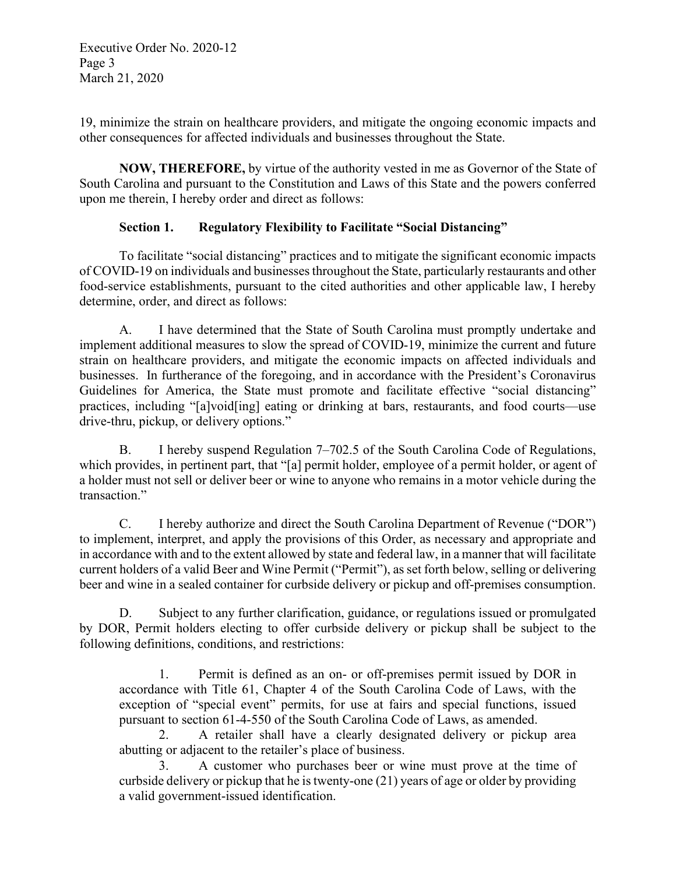Executive Order No. 2020-12 Page 3 March 21, 2020

19, minimize the strain on healthcare providers, and mitigate the ongoing economic impacts and other consequences for affected individuals and businesses throughout the State.

**NOW, THEREFORE,** by virtue of the authority vested in me as Governor of the State of South Carolina and pursuant to the Constitution and Laws of this State and the powers conferred upon me therein, I hereby order and direct as follows:

## **Section 1. Regulatory Flexibility to Facilitate "Social Distancing"**

To facilitate "social distancing" practices and to mitigate the significant economic impacts of COVID-19 on individuals and businesses throughout the State, particularly restaurants and other food-service establishments, pursuant to the cited authorities and other applicable law, I hereby determine, order, and direct as follows:

A. I have determined that the State of South Carolina must promptly undertake and implement additional measures to slow the spread of COVID-19, minimize the current and future strain on healthcare providers, and mitigate the economic impacts on affected individuals and businesses. In furtherance of the foregoing, and in accordance with the President's Coronavirus Guidelines for America, the State must promote and facilitate effective "social distancing" practices, including "[a]void[ing] eating or drinking at bars, restaurants, and food courts—use drive-thru, pickup, or delivery options."

B. I hereby suspend Regulation 7–702.5 of the South Carolina Code of Regulations, which provides, in pertinent part, that "[a] permit holder, employee of a permit holder, or agent of a holder must not sell or deliver beer or wine to anyone who remains in a motor vehicle during the transaction."

C. I hereby authorize and direct the South Carolina Department of Revenue ("DOR") to implement, interpret, and apply the provisions of this Order, as necessary and appropriate and in accordance with and to the extent allowed by state and federal law, in a manner that will facilitate current holders of a valid Beer and Wine Permit ("Permit"), as set forth below, selling or delivering beer and wine in a sealed container for curbside delivery or pickup and off-premises consumption.

D. Subject to any further clarification, guidance, or regulations issued or promulgated by DOR, Permit holders electing to offer curbside delivery or pickup shall be subject to the following definitions, conditions, and restrictions:

1. Permit is defined as an on- or off-premises permit issued by DOR in accordance with Title 61, Chapter 4 of the South Carolina Code of Laws, with the exception of "special event" permits, for use at fairs and special functions, issued pursuant to section 61-4-550 of the South Carolina Code of Laws, as amended.

2. A retailer shall have a clearly designated delivery or pickup area abutting or adjacent to the retailer's place of business.

3. A customer who purchases beer or wine must prove at the time of curbside delivery or pickup that he is twenty-one (21) years of age or older by providing a valid government-issued identification.